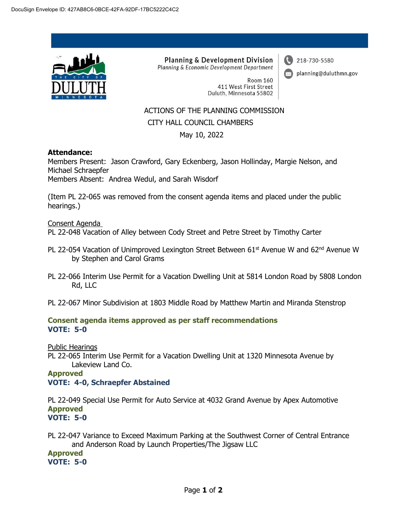

**Planning & Development Division** Planning & Economic Development Department 218-730-5580

planning@duluthmn.gov

**Room 160** 411 West First Street Duluth, Minnesota 55802

# ACTIONS OF THE PLANNING COMMISSION CITY HALL COUNCIL CHAMBERS

May 10, 2022

## **Attendance:**

Members Present: Jason Crawford, Gary Eckenberg, Jason Hollinday, Margie Nelson, and Michael Schraepfer Members Absent: Andrea Wedul, and Sarah Wisdorf

(Item PL 22-065 was removed from the consent agenda items and placed under the public hearings.)

Consent Agenda

PL 22-048 Vacation of Alley between Cody Street and Petre Street by Timothy Carter

- PL 22-054 Vacation of Unimproved Lexington Street Between  $61<sup>st</sup>$  Avenue W and  $62<sup>nd</sup>$  Avenue W by Stephen and Carol Grams
- PL 22-066 Interim Use Permit for a Vacation Dwelling Unit at 5814 London Road by 5808 London Rd, LLC
- PL 22-067 Minor Subdivision at 1803 Middle Road by Matthew Martin and Miranda Stenstrop

#### **Consent agenda items approved as per staff recommendations VOTE: 5-0**

Public Hearings

PL 22-065 Interim Use Permit for a Vacation Dwelling Unit at 1320 Minnesota Avenue by Lakeview Land Co.

# **Approved VOTE: 4-0, Schraepfer Abstained**

PL 22-049 Special Use Permit for Auto Service at 4032 Grand Avenue by Apex Automotive **Approved VOTE: 5-0**

PL 22-047 Variance to Exceed Maximum Parking at the Southwest Corner of Central Entrance and Anderson Road by Launch Properties/The Jigsaw LLC

**Approved VOTE: 5-0**